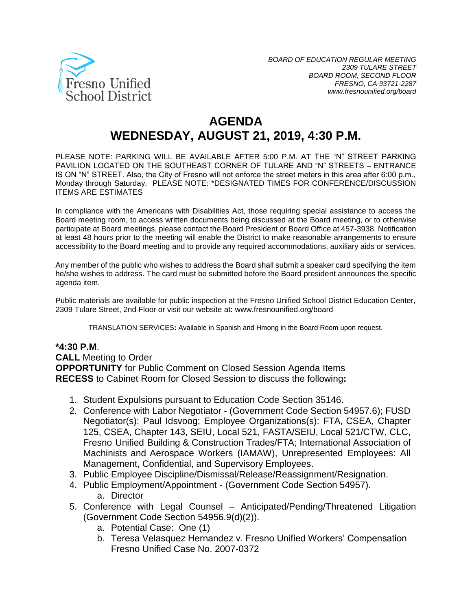

# **AGENDA WEDNESDAY, AUGUST 21, 2019, 4:30 P.M.**

PLEASE NOTE: PARKING WILL BE AVAILABLE AFTER 5:00 P.M. AT THE "N" STREET PARKING PAVILION LOCATED ON THE SOUTHEAST CORNER OF TULARE AND "N" STREETS – ENTRANCE IS ON "N" STREET. Also, the City of Fresno will not enforce the street meters in this area after 6:00 p.m., Monday through Saturday. PLEASE NOTE: \*DESIGNATED TIMES FOR CONFERENCE/DISCUSSION ITEMS ARE ESTIMATES

In compliance with the Americans with Disabilities Act, those requiring special assistance to access the Board meeting room, to access written documents being discussed at the Board meeting, or to otherwise participate at Board meetings, please contact the Board President or Board Office at 457-3938. Notification at least 48 hours prior to the meeting will enable the District to make reasonable arrangements to ensure accessibility to the Board meeting and to provide any required accommodations, auxiliary aids or services.

Any member of the public who wishes to address the Board shall submit a speaker card specifying the item he/she wishes to address. The card must be submitted before the Board president announces the specific agenda item.

Public materials are available for public inspection at the Fresno Unified School District Education Center, 2309 Tulare Street, 2nd Floor or visit our website at: www.fresnounified.org/board

TRANSLATION SERVICES**:** Available in Spanish and Hmong in the Board Room upon request.

#### **\*4:30 P.M**.

**CALL** Meeting to Order **OPPORTUNITY** for Public Comment on Closed Session Agenda Items **RECESS** to Cabinet Room for Closed Session to discuss the following**:**

- 1. Student Expulsions pursuant to Education Code Section 35146.
- 2. Conference with Labor Negotiator (Government Code Section 54957.6); FUSD Negotiator(s): Paul Idsvoog; Employee Organizations(s): FTA, CSEA, Chapter 125, CSEA, Chapter 143, SEIU, Local 521, FASTA/SEIU, Local 521/CTW, CLC, Fresno Unified Building & Construction Trades/FTA; International Association of Machinists and Aerospace Workers (IAMAW), Unrepresented Employees: All Management, Confidential, and Supervisory Employees.
- 3. Public Employee Discipline/Dismissal/Release/Reassignment/Resignation.
- 4. Public Employment/Appointment (Government Code Section 54957). a. Director
- 5. Conference with Legal Counsel Anticipated/Pending/Threatened Litigation (Government Code Section 54956.9(d)(2)).
	- a. Potential Case: One (1)
	- b. Teresa Velasquez Hernandez v. Fresno Unified Workers' Compensation Fresno Unified Case No. 2007-0372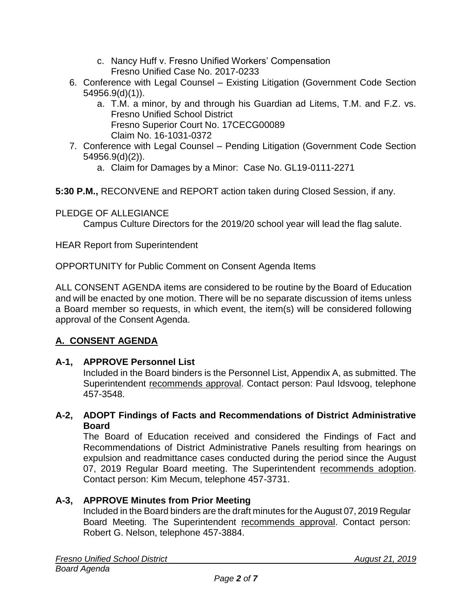- c. Nancy Huff v. Fresno Unified Workers' Compensation Fresno Unified Case No. 2017-0233
- 6. Conference with Legal Counsel Existing Litigation (Government Code Section 54956.9(d)(1)).
	- a. T.M. a minor, by and through his Guardian ad Litems, T.M. and F.Z. vs. Fresno Unified School District Fresno Superior Court No. 17CECG00089 Claim No. 16-1031-0372
- 7. Conference with Legal Counsel Pending Litigation (Government Code Section 54956.9(d)(2)).
	- a. Claim for Damages by a Minor: Case No. GL19-0111-2271

**5:30 P.M.,** RECONVENE and REPORT action taken during Closed Session, if any.

# PLEDGE OF ALLEGIANCE

Campus Culture Directors for the 2019/20 school year will lead the flag salute.

HEAR Report from Superintendent

OPPORTUNITY for Public Comment on Consent Agenda Items

ALL CONSENT AGENDA items are considered to be routine by the Board of Education and will be enacted by one motion. There will be no separate discussion of items unless a Board member so requests, in which event, the item(s) will be considered following approval of the Consent Agenda.

# **A. CONSENT AGENDA**

# **A-1, APPROVE Personnel List**

Included in the Board binders is the Personnel List, Appendix A, as submitted. The Superintendent recommends approval. Contact person: Paul Idsvoog, telephone 457-3548.

### **A-2, ADOPT Findings of Facts and Recommendations of District Administrative Board**

The Board of Education received and considered the Findings of Fact and Recommendations of District Administrative Panels resulting from hearings on expulsion and readmittance cases conducted during the period since the August 07, 2019 Regular Board meeting. The Superintendent recommends adoption. Contact person: Kim Mecum, telephone 457-3731.

# **A-3, APPROVE Minutes from Prior Meeting**

Included in the Board binders are the draft minutes for the August 07, 2019 Regular Board Meeting. The Superintendent recommends approval. Contact person: Robert G. Nelson, telephone 457-3884.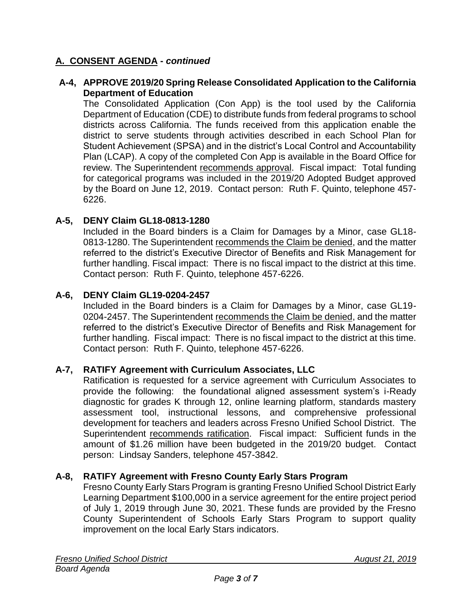### **A. CONSENT AGENDA -** *continued*

#### **A-4, APPROVE 2019/20 Spring Release Consolidated Application to the California Department of Education**

The Consolidated Application (Con App) is the tool used by the California Department of Education (CDE) to distribute funds from federal programs to school districts across California. The funds received from this application enable the district to serve students through activities described in each School Plan for Student Achievement (SPSA) and in the district's Local Control and Accountability Plan (LCAP). A copy of the completed Con App is available in the Board Office for review. The Superintendent recommends approval. Fiscal impact: Total funding for categorical programs was included in the 2019/20 Adopted Budget approved by the Board on June 12, 2019. Contact person: Ruth F. Quinto, telephone 457- 6226.

#### **A-5, DENY Claim GL18-0813-1280**

Included in the Board binders is a Claim for Damages by a Minor, case GL18- 0813-1280. The Superintendent recommends the Claim be denied, and the matter referred to the district's Executive Director of Benefits and Risk Management for further handling. Fiscal impact: There is no fiscal impact to the district at this time. Contact person: Ruth F. Quinto, telephone 457-6226.

#### **A-6, DENY Claim GL19-0204-2457**

Included in the Board binders is a Claim for Damages by a Minor, case GL19- 0204-2457. The Superintendent recommends the Claim be denied, and the matter referred to the district's Executive Director of Benefits and Risk Management for further handling. Fiscal impact: There is no fiscal impact to the district at this time. Contact person: Ruth F. Quinto, telephone 457-6226.

#### **A-7, RATIFY Agreement with Curriculum Associates, LLC**

Ratification is requested for a service agreement with Curriculum Associates to provide the following: the foundational aligned assessment system's i-Ready diagnostic for grades K through 12, online learning platform, standards mastery assessment tool, instructional lessons, and comprehensive professional development for teachers and leaders across Fresno Unified School District. The Superintendent recommends ratification. Fiscal impact: Sufficient funds in the amount of \$1.26 million have been budgeted in the 2019/20 budget. Contact person: Lindsay Sanders, telephone 457-3842.

#### **A-8, RATIFY Agreement with Fresno County Early Stars Program**

Fresno County Early Stars Program is granting Fresno Unified School District Early Learning Department \$100,000 in a service agreement for the entire project period of July 1, 2019 through June 30, 2021. These funds are provided by the Fresno County Superintendent of Schools Early Stars Program to support quality improvement on the local Early Stars indicators.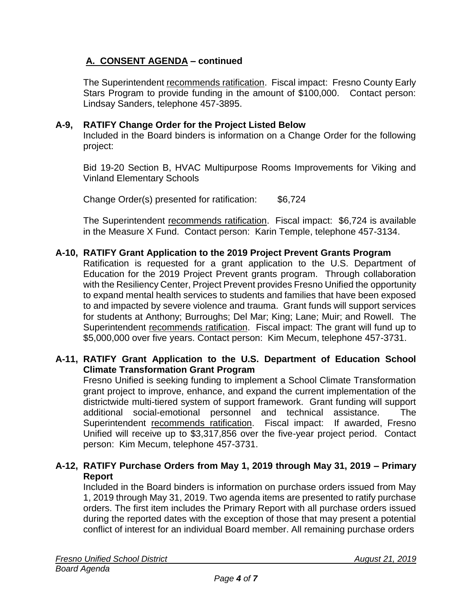# **A. CONSENT AGENDA – continued**

The Superintendent recommends ratification. Fiscal impact: Fresno County Early Stars Program to provide funding in the amount of \$100,000. Contact person: Lindsay Sanders, telephone 457-3895.

### **A-9, RATIFY Change Order for the Project Listed Below**

Included in the Board binders is information on a Change Order for the following project:

Bid 19-20 Section B, HVAC Multipurpose Rooms Improvements for Viking and Vinland Elementary Schools

Change Order(s) presented for ratification: \$6,724

The Superintendent recommends ratification. Fiscal impact: \$6,724 is available in the Measure X Fund. Contact person: Karin Temple, telephone 457-3134.

### **A-10, RATIFY Grant Application to the 2019 Project Prevent Grants Program**

Ratification is requested for a grant application to the U.S. Department of Education for the 2019 Project Prevent grants program. Through collaboration with the Resiliency Center, Project Prevent provides Fresno Unified the opportunity to expand mental health services to students and families that have been exposed to and impacted by severe violence and trauma. Grant funds will support services for students at Anthony; Burroughs; Del Mar; King; Lane; Muir; and Rowell. The Superintendent recommends ratification. Fiscal impact: The grant will fund up to \$5,000,000 over five years. Contact person: Kim Mecum, telephone 457-3731.

### **A-11, RATIFY Grant Application to the U.S. Department of Education School Climate Transformation Grant Program**

Fresno Unified is seeking funding to implement a School Climate Transformation grant project to improve, enhance, and expand the current implementation of the districtwide multi-tiered system of support framework. Grant funding will support additional social-emotional personnel and technical assistance. The Superintendent recommends ratification. Fiscal impact: If awarded, Fresno Unified will receive up to \$3,317,856 over the five-year project period. Contact person: Kim Mecum, telephone 457-3731.

### **A-12, RATIFY Purchase Orders from May 1, 2019 through May 31, 2019 – Primary Report**

Included in the Board binders is information on purchase orders issued from May 1, 2019 through May 31, 2019. Two agenda items are presented to ratify purchase orders. The first item includes the Primary Report with all purchase orders issued during the reported dates with the exception of those that may present a potential conflict of interest for an individual Board member. All remaining purchase orders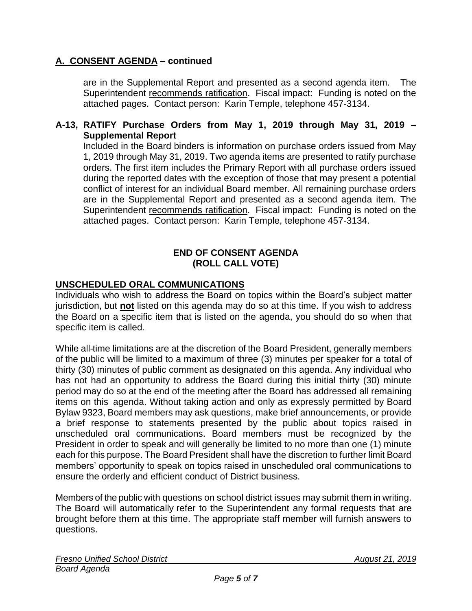### **A. CONSENT AGENDA – continued**

are in the Supplemental Report and presented as a second agenda item. The Superintendent recommends ratification. Fiscal impact: Funding is noted on the attached pages. Contact person: Karin Temple, telephone 457-3134.

#### **A-13, RATIFY Purchase Orders from May 1, 2019 through May 31, 2019 – Supplemental Report**

Included in the Board binders is information on purchase orders issued from May 1, 2019 through May 31, 2019. Two agenda items are presented to ratify purchase orders. The first item includes the Primary Report with all purchase orders issued during the reported dates with the exception of those that may present a potential conflict of interest for an individual Board member. All remaining purchase orders are in the Supplemental Report and presented as a second agenda item. The Superintendent recommends ratification. Fiscal impact: Funding is noted on the attached pages. Contact person: Karin Temple, telephone 457-3134.

#### **END OF CONSENT AGENDA (ROLL CALL VOTE)**

#### **UNSCHEDULED ORAL COMMUNICATIONS**

Individuals who wish to address the Board on topics within the Board's subject matter jurisdiction, but **not** listed on this agenda may do so at this time. If you wish to address the Board on a specific item that is listed on the agenda, you should do so when that specific item is called.

While all-time limitations are at the discretion of the Board President, generally members of the public will be limited to a maximum of three (3) minutes per speaker for a total of thirty (30) minutes of public comment as designated on this agenda. Any individual who has not had an opportunity to address the Board during this initial thirty (30) minute period may do so at the end of the meeting after the Board has addressed all remaining items on this agenda. Without taking action and only as expressly permitted by Board Bylaw 9323, Board members may ask questions, make brief announcements, or provide a brief response to statements presented by the public about topics raised in unscheduled oral communications. Board members must be recognized by the President in order to speak and will generally be limited to no more than one (1) minute each for this purpose. The Board President shall have the discretion to further limit Board members' opportunity to speak on topics raised in unscheduled oral communications to ensure the orderly and efficient conduct of District business.

Members of the public with questions on school district issues may submit them in writing. The Board will automatically refer to the Superintendent any formal requests that are brought before them at this time. The appropriate staff member will furnish answers to questions.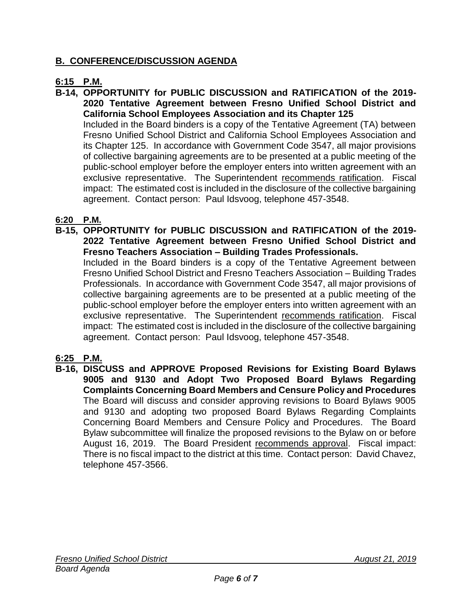### **B. CONFERENCE/DISCUSSION AGENDA**

### **6:15 P.M.**

**B-14, OPPORTUNITY for PUBLIC DISCUSSION and RATIFICATION of the 2019- 2020 Tentative Agreement between Fresno Unified School District and California School Employees Association and its Chapter 125**

Included in the Board binders is a copy of the Tentative Agreement (TA) between Fresno Unified School District and California School Employees Association and its Chapter 125. In accordance with Government Code 3547, all major provisions of collective bargaining agreements are to be presented at a public meeting of the public-school employer before the employer enters into written agreement with an exclusive representative. The Superintendent recommends ratification. Fiscal impact: The estimated cost is included in the disclosure of the collective bargaining agreement. Contact person: Paul Idsvoog, telephone 457-3548.

### **6:20 P.M.**

**B-15, OPPORTUNITY for PUBLIC DISCUSSION and RATIFICATION of the 2019- 2022 Tentative Agreement between Fresno Unified School District and Fresno Teachers Association – Building Trades Professionals.**

Included in the Board binders is a copy of the Tentative Agreement between Fresno Unified School District and Fresno Teachers Association – Building Trades Professionals. In accordance with Government Code 3547, all major provisions of collective bargaining agreements are to be presented at a public meeting of the public-school employer before the employer enters into written agreement with an exclusive representative. The Superintendent recommends ratification. Fiscal impact: The estimated cost is included in the disclosure of the collective bargaining agreement. Contact person: Paul Idsvoog, telephone 457-3548.

### **6:25 P.M.**

**B-16, DISCUSS and APPROVE Proposed Revisions for Existing Board Bylaws 9005 and 9130 and Adopt Two Proposed Board Bylaws Regarding Complaints Concerning Board Members and Censure Policy and Procedures** The Board will discuss and consider approving revisions to Board Bylaws 9005 and 9130 and adopting two proposed Board Bylaws Regarding Complaints Concerning Board Members and Censure Policy and Procedures. The Board Bylaw subcommittee will finalize the proposed revisions to the Bylaw on or before August 16, 2019. The Board President recommends approval. Fiscal impact: There is no fiscal impact to the district at this time. Contact person: David Chavez, telephone 457-3566.